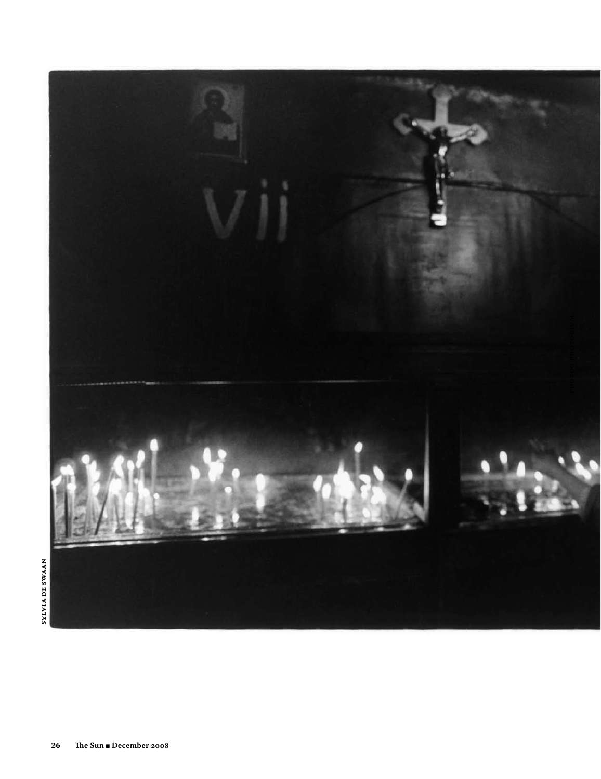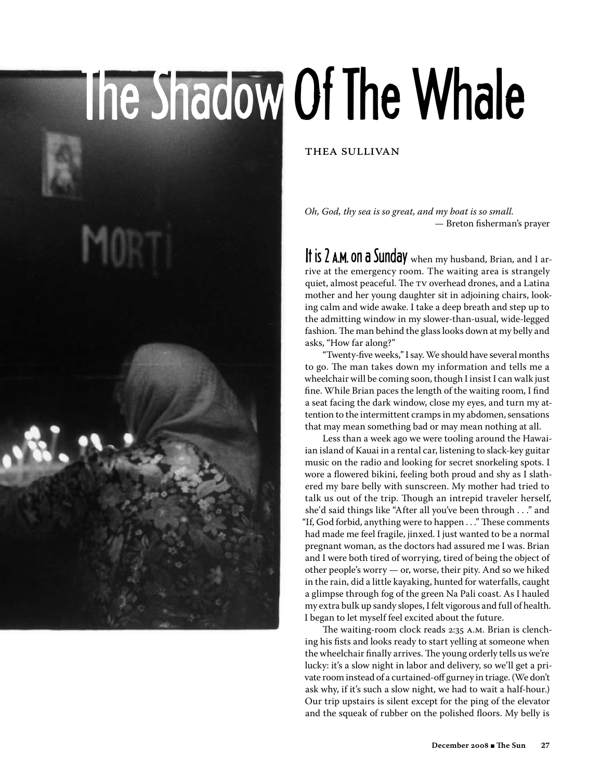## The Shadow Of The Whale

Thea Sullivan

*Oh, God, thy sea is so great, and my boat is so small.* — Breton fisherman's prayer

It is 2 A.M. On a Sunday when my husband, Brian, and I arrive at the emergency room. The waiting area is strangely quiet, almost peaceful. The TV overhead drones, and a Latina mother and her young daughter sit in adjoining chairs, looking calm and wide awake. I take a deep breath and step up to the admitting window in my slower-than-usual, wide-legged fashion. The man behind the glass looks down at my belly and asks, "How far along?"

 "Twenty-five weeks,"Isay.We should have several months to go. The man takes down my information and tells me a wheelchair will be coming soon, though I insist I can walk just fine. While Brian paces the length of the waiting room, I find a seat facing the dark window, close my eyes, and turn my attention to the intermittent cramps in my abdomen, sensations that may mean something bad or may mean nothing at all.

 Less than a week ago we were tooling around the Hawaiian island of Kauai in a rental car, listening to slack-key guitar music on the radio and looking for secret snorkeling spots. I wore a flowered bikini, feeling both proud and shy as I slathered my bare belly with sunscreen. My mother had tried to talk us out of the trip. Though an intrepid traveler herself, she'd said things like "After all you've been through . . ." and "If, God forbid, anything were to happen . . ." These comments had made me feel fragile, jinxed. I just wanted to be a normal pregnant woman, as the doctors had assured me I was. Brian and I were both tired of worrying, tired of being the object of other people's worry — or, worse, their pity. And so we hiked in the rain, did a little kayaking, hunted for waterfalls, caught a glimpse through fog of the green Na Pali coast. As I hauled my extra bulk up sandy slopes, I felt vigorous and full of health. I began to let myself feel excited about the future.

 The waiting-room clock reads 2:35 A.M. Brian is clenching his fists and looks ready to start yelling at someone when the wheelchair finally arrives.The young orderly tells us we're lucky: it's a slow night in labor and delivery, so we'll get a private room instead of a curtained-off gurney in triage.(We don't ask why, if it's such a slow night, we had to wait a half-hour.) Our trip upstairs is silent except for the ping of the elevator and the squeak of rubber on the polished floors. My belly is

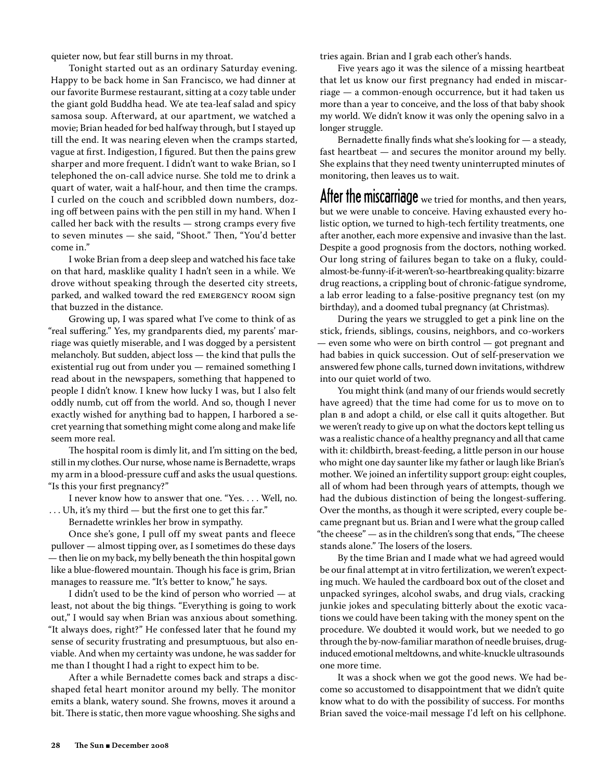quieter now, but fear still burns in my throat.

 Tonight started out as an ordinary Saturday evening. Happy to be back home in San Francisco, we had dinner at our favorite Burmese restaurant, sitting at a cozy table under the giant gold Buddha head. We ate tea-leaf salad and spicy samosa soup. Afterward, at our apartment, we watched a movie; Brian headed for bed halfway through, but I stayed up till the end. It was nearing eleven when the cramps started, vague at first. Indigestion, I figured. But then the pains grew sharper and more frequent. I didn't want to wake Brian, so I telephoned the on-call advice nurse. She told me to drink a quart of water, wait a half-hour, and then time the cramps. I curled on the couch and scribbled down numbers, dozing off between pains with the pen still in my hand. When I called her back with the results — strong cramps every five to seven minutes — she said, "Shoot." Then, "You'd better come in."

 I woke Brian from a deep sleep and watched his face take on that hard, masklike quality I hadn't seen in a while. We drove without speaking through the deserted city streets, parked, and walked toward the red EMERGENCY ROOM sign that buzzed in the distance.

 Growing up, I was spared what I've come to think of as "real suffering." Yes, my grandparents died, my parents' marriage was quietly miserable, and I was dogged by a persistent melancholy. But sudden, abject loss — the kind that pulls the existential rug out from under you — remained something I read about in the newspapers, something that happened to people I didn't know. I knew how lucky I was, but I also felt oddly numb, cut off from the world. And so, though I never exactly wished for anything bad to happen, I harbored a secret yearning that something might come along and make life seem more real.

 The hospital room is dimly lit, and I'm sitting on the bed, still in my clothes. Our nurse, whose name is Bernadette, wraps my arm in a blood-pressure cuff and asks the usual questions. "Is this your first pregnancy?"

 I never know how to answer that one. "Yes. . . . Well, no. . . . Uh, it's my third — but the first one to get this far."

 Bernadette wrinkles her brow in sympathy.

 Once she's gone, I pull off my sweat pants and fleece pullover — almost tipping over, as I sometimes do these days — then lie on my back, my belly beneath the thin hospital gown like a blue-flowered mountain. Though his face is grim, Brian manages to reassure me. "It's better to know," he says.

 I didn't used to be the kind of person who worried — at least, not about the big things. "Everything is going to work out," I would say when Brian was anxious about something. "It always does, right?" He confessed later that he found my sense of security frustrating and presumptuous, but also enviable. And when my certainty was undone, he was sadder for me than I thought I had a right to expect him to be.

 After a while Bernadette comes back and straps a discshaped fetal heart monitor around my belly. The monitor emits a blank, watery sound. She frowns, moves it around a bit. There is static, then more vague whooshing. She sighs and

tries again. Brian and I grab each other's hands.

 Five years ago it was the silence of a missing heartbeat that let us know our first pregnancy had ended in miscarriage — a common-enough occurrence, but it had taken us more than a year to conceive, and the loss of that baby shook my world. We didn't know it was only the opening salvo in a longer struggle.

Bernadette finally finds what she's looking for  $-$  a steady, fast heartbeat — and secures the monitor around my belly. She explains that they need twenty uninterrupted minutes of monitoring, then leaves us to wait.

After the miscarriage we tried for months, and then years, but we were unable to conceive. Having exhausted every holistic option, we turned to high-tech fertility treatments, one after another, each more expensive and invasive than the last. Despite a good prognosis from the doctors, nothing worked. Our long string of failures began to take on a fluky, couldalmost-be-funny-if-it-weren't-so-heartbreaking quality: bizarre drug reactions, a crippling bout of chronic-fatigue syndrome, a lab error leading to a false-positive pregnancy test (on my birthday), and a doomed tubal pregnancy (at Christmas).

 During the years we struggled to get a pink line on the stick, friends, siblings, cousins, neighbors, and co-workers — even some who were on birth control — got pregnant and had babies in quick succession. Out of self-preservation we answered few phone calls, turned down invitations, withdrew into our quiet world of two.

 You might think (and many of our friends would secretly have agreed) that the time had come for us to move on to plan B and adopt a child, or else call it quits altogether. But we weren't ready to give up on what the doctors kept telling us was a realistic chance of a healthy pregnancy and all that came with it: childbirth, breast-feeding, a little person in our house who might one day saunter like my father or laugh like Brian's mother. We joined an infertility support group: eight couples, all of whom had been through years of attempts, though we had the dubious distinction of being the longest-suffering. Over the months, as though it were scripted, every couple became pregnant but us. Brian and I were what the group called "the cheese" — as in the children's song that ends, "The cheese stands alone." The losers of the losers.

 By the time Brian and I made what we had agreed would be our final attempt at in vitro fertilization, we weren't expecting much. We hauled the cardboard box out of the closet and unpacked syringes, alcohol swabs, and drug vials, cracking junkie jokes and speculating bitterly about the exotic vacations we could have been taking with the money spent on the procedure. We doubted it would work, but we needed to go through the by-now-familiar marathon of needle bruises, druginduced emotional meltdowns, and white-knuckle ultrasounds one more time.

 It was a shock when we got the good news. We had become so accustomed to disappointment that we didn't quite know what to do with the possibility of success. For months Brian saved the voice-mail message I'd left on his cellphone.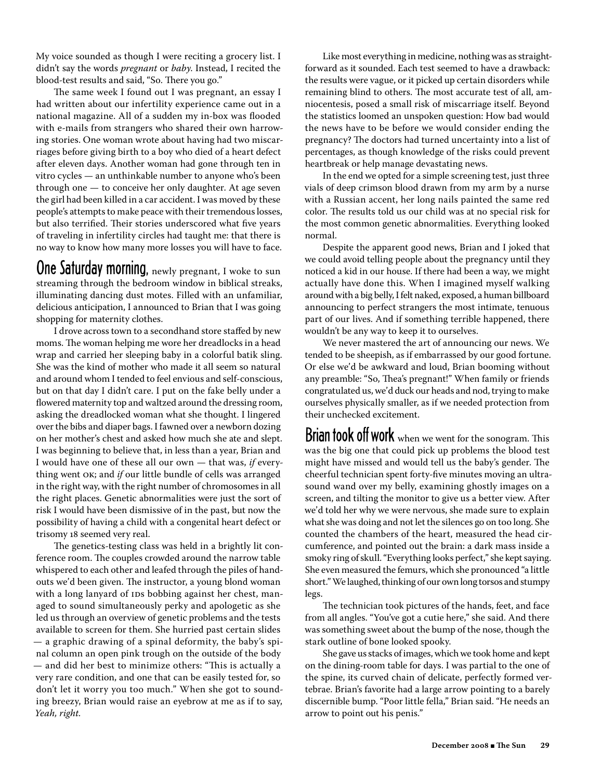My voice sounded as though I were reciting a grocery list. I didn't say the words *pregnant* or *baby*. Instead, I recited the blood-test results and said, "So. There you go."

 The same week I found out I was pregnant, an essay I had written about our infertility experience came out in a national magazine. All of a sudden my in-box was flooded with e-mails from strangers who shared their own harrowing stories. One woman wrote about having had two miscarriages before giving birth to a boy who died of a heart defect after eleven days. Another woman had gone through ten in vitro cycles — an unthinkable number to anyone who's been through one — to conceive her only daughter. At age seven the girl had been killed in a car accident. I was moved by these people's attempts to make peace with their tremendous losses, but also terrified. Their stories underscored what five years of traveling in infertility circles had taught me: that there is no way to know how many more losses you will have to face.

## One Saturday morning, newly pregnant, I woke to sun streaming through the bedroom window in biblical streaks, illuminating dancing dust motes. Filled with an unfamiliar, delicious anticipation, I announced to Brian that I was going shopping for maternity clothes.

 I drove across town to a secondhand store staffed by new moms. The woman helping me wore her dreadlocks in a head wrap and carried her sleeping baby in a colorful batik sling. She was the kind of mother who made it all seem so natural and around whom I tended to feel envious and self-conscious, but on that day I didn't care. I put on the fake belly under a flowered maternity top and waltzed around the dressing room, asking the dreadlocked woman what she thought. I lingered over the bibs and diaper bags. I fawned over a newborn dozing on her mother's chest and asked how much she ate and slept. I was beginning to believe that, in less than a year, Brian and I would have one of these all our own — that was, *if* everything went OK; and *if* our little bundle of cells was arranged in the right way, with the right number of chromosomesin all the right places. Genetic abnormalities were just the sort of risk I would have been dismissive of in the past, but now the possibility of having a child with a congenital heart defect or trisomy 18 seemed very real.

 The genetics-testing class was held in a brightly lit conference room. The couples crowded around the narrow table whispered to each other and leafed through the piles of handouts we'd been given. The instructor, a young blond woman with a long lanyard of IDs bobbing against her chest, managed to sound simultaneously perky and apologetic as she led us through an overview of genetic problems and the tests available to screen for them. She hurried past certain slides — a graphic drawing of a spinal deformity, the baby's spinal column an open pink trough on the outside of the body — and did her best to minimize others: "This is actually a very rare condition, and one that can be easily tested for, so don't let it worry you too much." When she got to sounding breezy, Brian would raise an eyebrow at me as if to say, *Yeah, right.*

Like most everything in medicine, nothing was as straightforward as it sounded. Each test seemed to have a drawback: the results were vague, or it picked up certain disorders while remaining blind to others. The most accurate test of all, amniocentesis, posed a small risk of miscarriage itself. Beyond the statistics loomed an unspoken question: How bad would the news have to be before we would consider ending the pregnancy? The doctors had turned uncertainty into a list of percentages, as though knowledge of the risks could prevent heartbreak or help manage devastating news.

 In the end we opted for a simple screening test, just three vials of deep crimson blood drawn from my arm by a nurse with a Russian accent, her long nails painted the same red color. The results told us our child was at no special risk for the most common genetic abnormalities. Everything looked normal.

 Despite the apparent good news, Brian and I joked that we could avoid telling people about the pregnancy until they noticed a kid in our house. If there had been a way, we might actually have done this. When I imagined myself walking around with a big belly,Ifelt naked, exposed, a human billboard announcing to perfect strangers the most intimate, tenuous part of our lives. And if something terrible happened, there wouldn't be any way to keep it to ourselves.

 We never mastered the art of announcing our news. We tended to be sheepish, as if embarrassed by our good fortune. Or else we'd be awkward and loud, Brian booming without any preamble: "So, Thea's pregnant!" When family or friends congratulated us, we'd duck our heads and nod, trying to make ourselves physically smaller, as if we needed protection from their unchecked excitement.

Brian took off work when we went for the sonogram. This was the big one that could pick up problems the blood test might have missed and would tell us the baby's gender. The cheerful technician spent forty-five minutes moving an ultrasound wand over my belly, examining ghostly images on a screen, and tilting the monitor to give us a better view. After we'd told her why we were nervous, she made sure to explain whatshe was doing and not let the silences go on too long. She counted the chambers of the heart, measured the head circumference, and pointed out the brain: a dark mass inside a smoky ring of skull. "Everything looks perfect," she kept saying. She even measured the femurs, which she pronounced "a little short." We laughed, thinking of our own long torsos and stumpy legs.

 The technician took pictures of the hands, feet, and face from all angles. "You've got a cutie here," she said. And there was something sweet about the bump of the nose, though the stark outline of bone looked spooky.

She gave us stacks of images, which we took home and kept on the dining-room table for days. I was partial to the one of the spine, its curved chain of delicate, perfectly formed vertebrae. Brian's favorite had a large arrow pointing to a barely discernible bump. "Poor little fella," Brian said. "He needs an arrow to point out his penis."